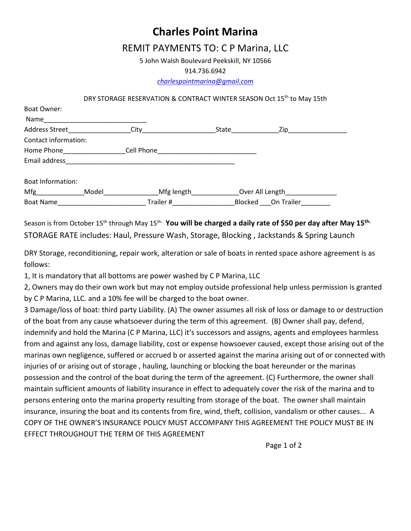**Charles Point Marina** 

## REMIT PAYMENTS TO: C P Marina, LLC

5 John Walsh Boulevard Peekskill, NY 10566

914.736.6942

*[charlespointmarina@gmail.com](mailto:charlespointmarina@gmail.com)*

## DRY STORAGE RESERVATION & CONTRACT WINTER SEASON Oct 15<sup>th</sup> to May 15th

| Boat Owner:           |       |             |       |                    |  |
|-----------------------|-------|-------------|-------|--------------------|--|
| Name                  |       |             |       |                    |  |
| Address Street        |       | City        | State | Zip                |  |
| Contact information:  |       |             |       |                    |  |
| Home Phone Now Search |       | Cell Phone  |       |                    |  |
| Email address         |       |             |       |                    |  |
| Boat Information:     |       |             |       |                    |  |
| Mfg                   | Model | Mfg length_ |       | Over All Length    |  |
| <b>Boat Name</b>      |       | Trailer #   |       | Blocked On Trailer |  |

Season is from October 15<sup>th</sup> through May 15<sup>th.</sup> You will be charged a daily rate of \$50 per day after May 15<sup>th.</sup> STORAGE RATE includes: Haul, Pressure Wash, Storage, Blocking , Jackstands & Spring Launch

DRY Storage, reconditioning, repair work, alteration or sale of boats in rented space ashore agreement is as follows:

1, It is mandatory that all bottoms are power washed by C P Marina, LLC

2, Owners may do their own work but may not employ outside professional help unless permission is granted by C P Marina, LLC. and a 10% fee will be charged to the boat owner.

3 Damage/loss of boat: third party Liability. (A) The owner assumes all risk of loss or damage to or destruction of the boat from any cause whatsoever during the term of this agreement. (B) Owner shall pay, defend, indemnify and hold the Marina (C P Marina, LLC) it's successors and assigns, agents and employees harmless from and against any loss, damage liability, cost or expense howsoever caused, except those arising out of the marinas own negligence, suffered or accrued b or asserted against the marina arising out of or connected with injuries of or arising out of storage , hauling, launching or blocking the boat hereunder or the marinas possession and the control of the boat during the term of the agreement. (C) Furthermore, the owner shall maintain sufficient amounts of liability insurance in effect to adequately cover the risk of the marina and to persons entering onto the marina property resulting from storage of the boat. The owner shall maintain insurance, insuring the boat and its contents from fire, wind, theft, collision, vandalism or other causes... A COPY OF THE OWNER'S INSURANCE POLICY MUST ACCOMPANY THIS AGREEMENT THE POLICY MUST BE IN EFFECT THROUGHOUT THE TERM OF THIS AGREEMENT

Page 1 of 2